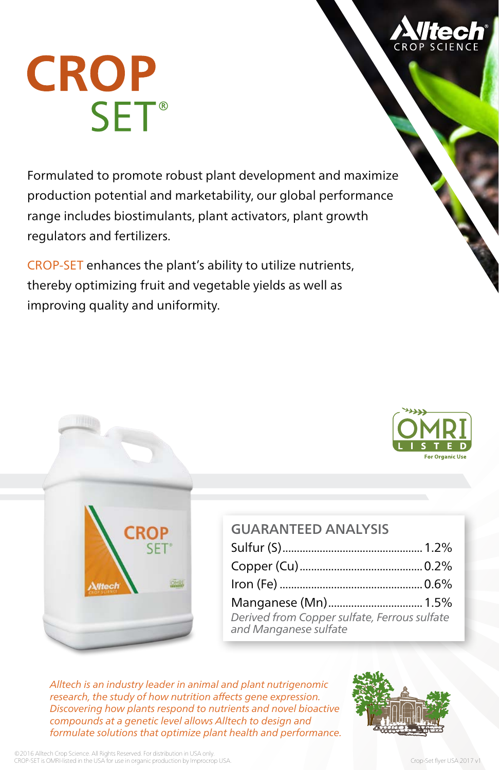

## **CROP SET<sup>®</sup>**

Formulated to promote robust plant development and maximize production potential and marketability, our global performance range includes biostimulants, plant activators, plant growth regulators and fertilizers.

CROP-SET enhances the plant's ability to utilize nutrients, thereby optimizing fruit and vegetable yields as well as improving quality and uniformity.



| <b>GUARANTEED ANAIYSIS</b>                                            |  |
|-----------------------------------------------------------------------|--|
|                                                                       |  |
|                                                                       |  |
|                                                                       |  |
| Manganese (Mn) 1.5%                                                   |  |
| Derived from Copper sulfate, Ferrous sulfate<br>and Manganese sulfate |  |

*Alltech is an industry leader in animal and plant nutrigenomic research, the study of how nutrition affects gene expression. Discovering how plants respond to nutrients and novel bioactive compounds at a genetic level allows Alltech to design and formulate solutions that optimize plant health and performance.*



**For Organic Use**